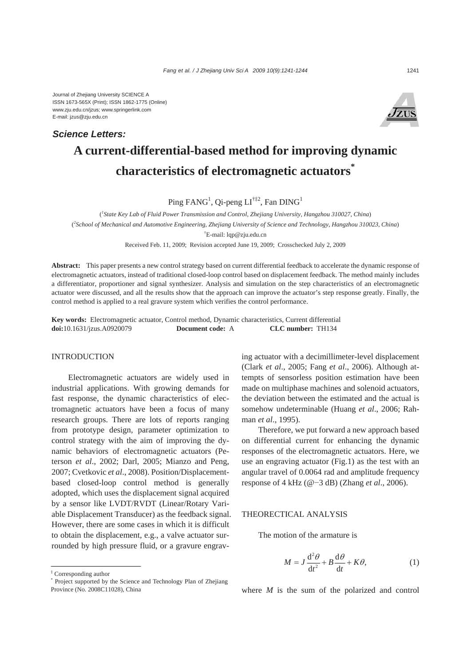# **A current-differential-based method for improving dynamic characteristics of electromagnetic actuators\*** *Science Letters:*

Ping FANG<sup>1</sup>, Qi-peng  $LI^{\dagger\ddagger 2}$ , Fan DING<sup>1</sup>

( *1 State Key Lab of Fluid Power Transmission and Control, Zhejiang University, Hangzhou 310027, China*) ( *2 School of Mechanical and Automotive Engineering, Zhejiang University of Science and Technology, Hangzhou 310023, China*) † E-mail: lqp@zju.edu.cn

Received Feb. 11, 2009; Revision accepted June 19, 2009; Crosschecked July 2, 2009

**Abstract:** This paper presents a new control strategy based on current differential feedback to accelerate the dynamic response of electromagnetic actuators, instead of traditional closed-loop control based on displacement feedback. The method mainly includes a differentiator, proportioner and signal synthesizer. Analysis and simulation on the step characteristics of an electromagnetic actuator were discussed, and all the results show that the approach can improve the actuator's step response greatly. Finally, the control method is applied to a real gravure system which verifies the control performance.

**Key words:** Electromagnetic actuator, Control method, Dynamic characteristics, Current differential **doi:**10.1631/jzus.A0920079 **Document code:** A **CLC number:** TH134

# INTRODUCTION

Electromagnetic actuators are widely used in industrial applications. With growing demands for fast response, the dynamic characteristics of electromagnetic actuators have been a focus of many research groups. There are lots of reports ranging from prototype design, parameter optimization to control strategy with the aim of improving the dynamic behaviors of electromagnetic actuators (Peterson *et al*., 2002; Darl, 2005; Mianzo and Peng, 2007; Cvetkovic *et al*., 2008). Position/Displacementbased closed-loop control method is generally adopted, which uses the displacement signal acquired by a sensor like LVDT/RVDT (Linear/Rotary Variable Displacement Transducer) as the feedback signal. However, there are some cases in which it is difficult to obtain the displacement, e.g., a valve actuator surrounded by high pressure fluid, or a gravure engraving actuator with a decimillimeter-level displacement (Clark *et al*., 2005; Fang *et al*., 2006). Although attempts of sensorless position estimation have been made on multiphase machines and solenoid actuators, the deviation between the estimated and the actual is somehow undeterminable (Huang *et al*., 2006; Rahman *et al*., 1995).

Therefore, we put forward a new approach based on differential current for enhancing the dynamic responses of the electromagnetic actuators. Here, we use an engraving actuator (Fig.1) as the test with an angular travel of 0.0064 rad and amplitude frequency response of 4 kHz (@−3 dB) (Zhang *et al*., 2006).

### THEORECTICAL ANALYSIS

The motion of the armature is

$$
M = J \frac{d^2 \theta}{dt^2} + B \frac{d\theta}{dt} + K\theta,
$$
 (1)

‡ Corresponding author

where *M* is the sum of the polarized and control

<sup>\*</sup> Project supported by the Science and Technology Plan of Zhejiang Province (No. 2008C11028), China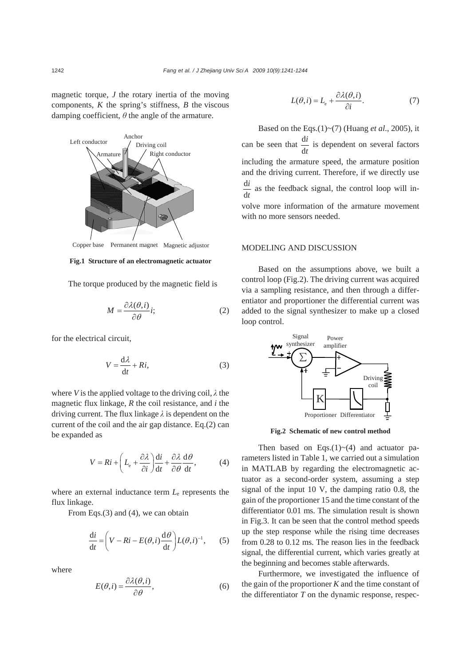magnetic torque, *J* the rotary inertia of the moving components, *K* the spring's stiffness, *B* the viscous damping coefficient,  $\theta$  the angle of the armature.



Copper base Permanent magnet Magnetic adjustor

#### **Fig.1 Structure of an electromagnetic actuator**

The torque produced by the magnetic field is

$$
M = \frac{\partial \lambda(\theta, i)}{\partial \theta} i; \tag{2}
$$

for the electrical circuit,

$$
V = \frac{d\lambda}{dt} + Ri,\tag{3}
$$

where *V* is the applied voltage to the driving coil,  $\lambda$  the magnetic flux linkage, *R* the coil resistance, and *i* the driving current. The flux linkage *λ* is dependent on the current of the coil and the air gap distance. Eq.(2) can be expanded as

$$
V = Ri + \left( L_{\rm e} + \frac{\partial \lambda}{\partial i} \right) \frac{\mathrm{d}i}{\mathrm{d}t} + \frac{\partial \lambda}{\partial \theta} \frac{\mathrm{d}\theta}{\mathrm{d}t},\tag{4}
$$

where an external inductance term *L*e represents the flux linkage.

From Eqs.(3) and (4), we can obtain

$$
\frac{di}{dt} = \left(V - Ri - E(\theta, i) \frac{d\theta}{dt}\right) L(\theta, i)^{-1}, \quad (5)
$$

where

$$
E(\theta, i) = \frac{\partial \lambda(\theta, i)}{\partial \theta},
$$
\n(6)

$$
L(\theta, i) = L_{e} + \frac{\partial \lambda(\theta, i)}{\partial i}.
$$
 (7)

Based on the Eqs.(1)~(7) (Huang *et al*., 2005), it can be seen that  $\frac{d}{dx}$ d *i t* is dependent on several factors including the armature speed, the armature position and the driving current. Therefore, if we directly use d d *i t* as the feedback signal, the control loop will involve more information of the armature movement with no more sensors needed.

# MODELING AND DISCUSSION

Based on the assumptions above, we built a control loop (Fig.2). The driving current was acquired via a sampling resistance, and then through a differentiator and proportioner the differential current was added to the signal synthesizer to make up a closed loop control.



**Fig.2 Schematic of new control method**

Then based on Eqs. $(1)$ ~ $(4)$  and actuator parameters listed in Table 1, we carried out a simulation in MATLAB by regarding the electromagnetic actuator as a second-order system, assuming a step signal of the input 10 V, the damping ratio 0.8, the gain of the proportioner 15 and the time constant of the differentiator 0.01 ms. The simulation result is shown in Fig.3. It can be seen that the control method speeds up the step response while the rising time decreases from 0.28 to 0.12 ms. The reason lies in the feedback signal, the differential current, which varies greatly at the beginning and becomes stable afterwards.

Furthermore, we investigated the influence of the gain of the proportioner *K* and the time constant of the differentiator *T* on the dynamic response, respec-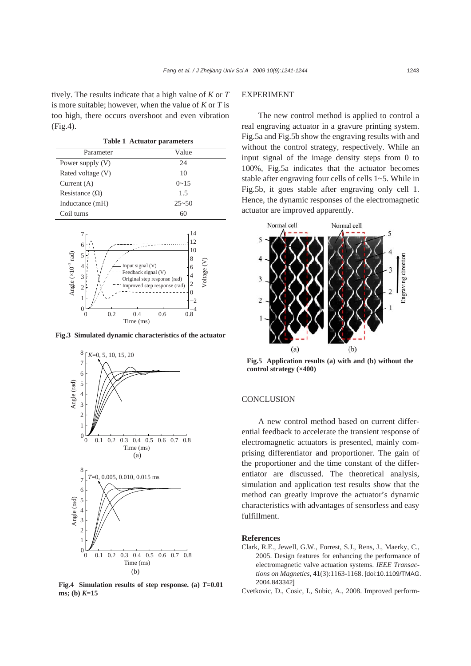tively. The results indicate that a high value of *K* or *T* is more suitable; however, when the value of *K* or *T* is too high, there occurs overshoot and even vibration (Fig.4).

| <b>Table 1 Actuator parameters</b> |           |
|------------------------------------|-----------|
| Parameter                          | Value     |
| Power supply (V)                   | 24        |
| Rated voltage (V)                  | 10        |
| Current $(A)$                      | $0 - 15$  |
| Resistance $(\Omega)$              | 1.5       |
| Inductance (mH)                    | $25 - 50$ |
| Coil turns                         | 60        |



**Fig.3 Simulated dynamic characteristics of the actuator**



**Fig.4 Simulation results of step response. (a)** *T***=0.01 ms; (b)** *K***=15** 

# EXPERIMENT

The new control method is applied to control a real engraving actuator in a gravure printing system. Fig.5a and Fig.5b show the engraving results with and without the control strategy, respectively. While an input signal of the image density steps from 0 to 100%, Fig.5a indicates that the actuator becomes stable after engraving four cells of cells 1~5. While in Fig.5b, it goes stable after engraving only cell 1. Hence, the dynamic responses of the electromagnetic actuator are improved apparently.



**Fig.5 Application results (a) with and (b) without the control strategy (×400)** 

### **CONCLUSION**

A new control method based on current differential feedback to accelerate the transient response of electromagnetic actuators is presented, mainly comprising differentiator and proportioner. The gain of the proportioner and the time constant of the differentiator are discussed. The theoretical analysis, simulation and application test results show that the method can greatly improve the actuator's dynamic characteristics with advantages of sensorless and easy fulfillment.

#### **References**

- Clark, R.E., Jewell, G.W., Forrest, S.J., Rens, J., Maerky, C., 2005. Design features for enhancing the performance of electromagnetic valve actuation systems. *IEEE Transactions on Magnetics*, **41**(3):1163-1168. [doi:10.1109/TMAG. 2004.843342]
- Cvetkovic, D., Cosic, I., Subic, A., 2008. Improved perform-